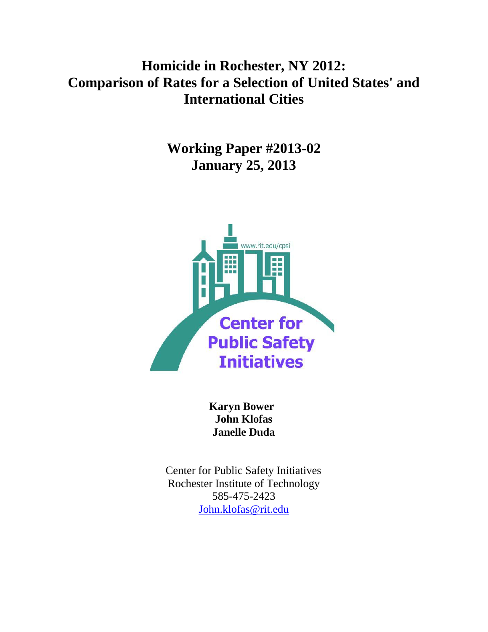# **Homicide in Rochester, NY 2012: Comparison of Rates for a Selection of United States' and International Cities**

**Working Paper #2013-02 January 25, 2013** 



 **Karyn Bower John Klofas Janelle Duda**

 Center for Public Safety Initiatives Rochester Institute of Technology 585-475-2423 [John.klofas@rit.edu](mailto:John.klofas@rit.edu)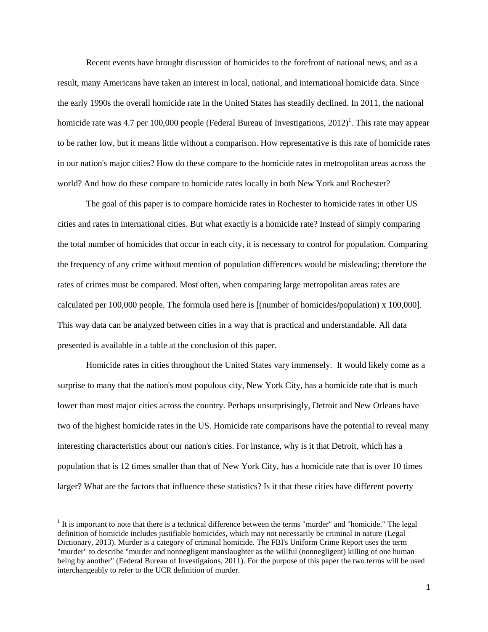Recent events have brought discussion of homicides to the forefront of national news, and as a result, many Americans have taken an interest in local, national, and international homicide data. Since the early 1990s the overall homicide rate in the United States has steadily declined. In 2011, the national homicide rate was 4.7 per 100,000 people (Federal Bureau of Investigations, 2012)<sup>1</sup>. This rate may appear to be rather low, but it means little without a comparison. How representative is this rate of homicide rates in our nation's major cities? How do these compare to the homicide rates in metropolitan areas across the world? And how do these compare to homicide rates locally in both New York and Rochester?

The goal of this paper is to compare homicide rates in Rochester to homicide rates in other US cities and rates in international cities. But what exactly is a homicide rate? Instead of simply comparing the total number of homicides that occur in each city, it is necessary to control for population. Comparing the frequency of any crime without mention of population differences would be misleading; therefore the rates of crimes must be compared. Most often, when comparing large metropolitan areas rates are calculated per 100,000 people. The formula used here is [(number of homicides**/**population) x 100,000]. This way data can be analyzed between cities in a way that is practical and understandable. All data presented is available in a table at the conclusion of this paper.

Homicide rates in cities throughout the United States vary immensely. It would likely come as a surprise to many that the nation's most populous city, New York City, has a homicide rate that is much lower than most major cities across the country. Perhaps unsurprisingly, Detroit and New Orleans have two of the highest homicide rates in the US. Homicide rate comparisons have the potential to reveal many interesting characteristics about our nation's cities. For instance, why is it that Detroit, which has a population that is 12 times smaller than that of New York City, has a homicide rate that is over 10 times larger? What are the factors that influence these statistics? Is it that these cities have different poverty

l

 $<sup>1</sup>$  It is important to note that there is a technical difference between the terms "murder" and "homicide." The legal</sup> definition of homicide includes justifiable homicides, which may not necessarily be criminal in nature (Legal Dictionary, 2013). Murder is a category of criminal homicide. The FBI's Uniform Crime Report uses the term "murder" to describe "murder and nonnegligent manslaughter as the willful (nonnegligent) killing of one human being by another" (Federal Bureau of Investigaions, 2011). For the purpose of this paper the two terms will be used interchangeably to refer to the UCR definition of murder.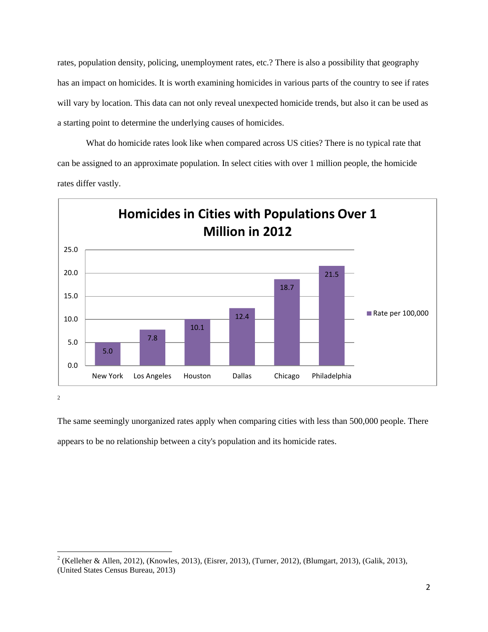rates, population density, policing, unemployment rates, etc.? There is also a possibility that geography has an impact on homicides. It is worth examining homicides in various parts of the country to see if rates will vary by location. This data can not only reveal unexpected homicide trends, but also it can be used as a starting point to determine the underlying causes of homicides.

What do homicide rates look like when compared across US cities? There is no typical rate that can be assigned to an approximate population. In select cities with over 1 million people, the homicide rates differ vastly.



2

The same seemingly unorganized rates apply when comparing cities with less than 500,000 people. There appears to be no relationship between a city's population and its homicide rates.

<sup>&</sup>lt;sup>2</sup> (Kelleher & Allen, 2012), (Knowles, 2013), (Eisrer, 2013), (Turner, 2012), (Blumgart, 2013), (Galik, 2013), (United States Census Bureau, 2013)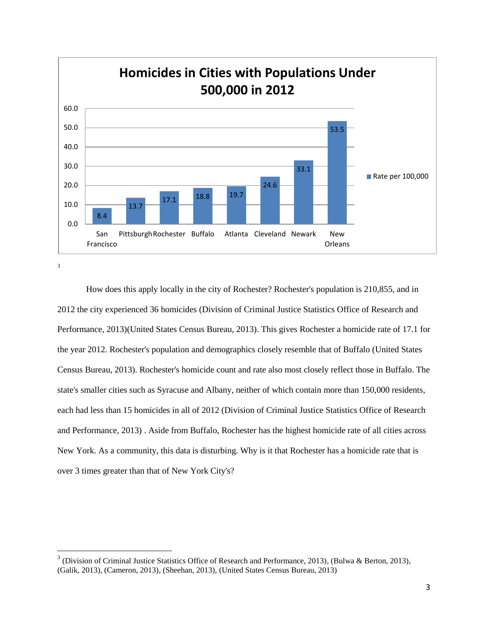

 $\overline{\phantom{a}}$ 

How does this apply locally in the city of Rochester? Rochester's population is 210,855, and in 2012 the city experienced 36 homicides (Division of Criminal Justice Statistics Office of Research and Performance, 2013)(United States Census Bureau, 2013). This gives Rochester a homicide rate of 17.1 for the year 2012. Rochester's population and demographics closely resemble that of Buffalo (United States Census Bureau, 2013). Rochester's homicide count and rate also most closely reflect those in Buffalo. The state's smaller cities such as Syracuse and Albany, neither of which contain more than 150,000 residents, each had less than 15 homicides in all of 2012 (Division of Criminal Justice Statistics Office of Research and Performance, 2013) . Aside from Buffalo, Rochester has the highest homicide rate of all cities across New York. As a community, this data is disturbing. Why is it that Rochester has a homicide rate that is over 3 times greater than that of New York City's?

<sup>&</sup>lt;sup>3</sup> (Division of Criminal Justice Statistics Office of Research and Performance, 2013), (Bulwa & Berton, 2013), (Galik, 2013), (Cameron, 2013), (Sheehan, 2013), (United States Census Bureau, 2013)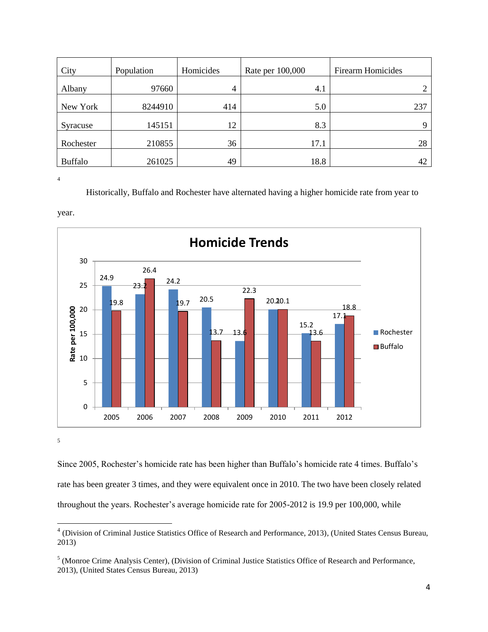| City           | Population | Homicides      | Rate per 100,000 | <b>Firearm Homicides</b> |
|----------------|------------|----------------|------------------|--------------------------|
| Albany         | 97660      | $\overline{4}$ | 4.1              |                          |
| New York       | 8244910    | 414            | 5.0              | 237                      |
| Syracuse       | 145151     | 12             | 8.3              | Q                        |
| Rochester      | 210855     | 36             | 17.1             | 28                       |
| <b>Buffalo</b> | 261025     | 49             | 18.8             | 42                       |

Historically, Buffalo and Rochester have alternated having a higher homicide rate from year to





5

Since 2005, Rochester's homicide rate has been higher than Buffalo's homicide rate 4 times. Buffalo's rate has been greater 3 times, and they were equivalent once in 2010. The two have been closely related throughout the years. Rochester's average homicide rate for 2005-2012 is 19.9 per 100,000, while

 4 (Division of Criminal Justice Statistics Office of Research and Performance, 2013), (United States Census Bureau, 2013)

<sup>&</sup>lt;sup>5</sup> (Monroe Crime Analysis Center), (Division of Criminal Justice Statistics Office of Research and Performance, 2013), (United States Census Bureau, 2013)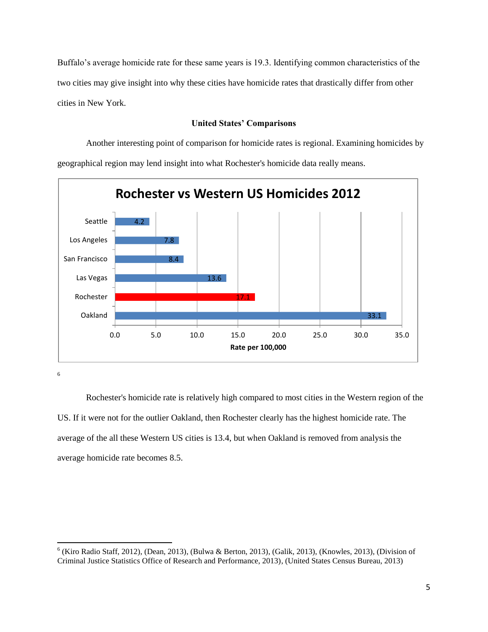Buffalo's average homicide rate for these same years is 19.3. Identifying common characteristics of the two cities may give insight into why these cities have homicide rates that drastically differ from other cities in New York.

#### **United States' Comparisons**

Another interesting point of comparison for homicide rates is regional. Examining homicides by geographical region may lend insight into what Rochester's homicide data really means.



6

 $\overline{\phantom{a}}$ 

Rochester's homicide rate is relatively high compared to most cities in the Western region of the US. If it were not for the outlier Oakland, then Rochester clearly has the highest homicide rate. The average of the all these Western US cities is 13.4, but when Oakland is removed from analysis the average homicide rate becomes 8.5.

 $6$  (Kiro Radio Staff, 2012), (Dean, 2013), (Bulwa & Berton, 2013), (Galik, 2013), (Knowles, 2013), (Division of Criminal Justice Statistics Office of Research and Performance, 2013), (United States Census Bureau, 2013)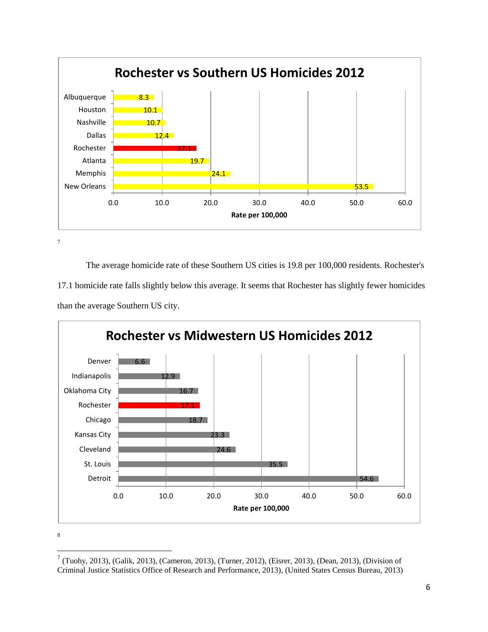

 $\overline{\phantom{a}}$ 

The average homicide rate of these Southern US cities is 19.8 per 100,000 residents. Rochester's 17.1 homicide rate falls slightly below this average. It seems that Rochester has slightly fewer homicides than the average Southern US city.



<sup>&</sup>lt;sup>7</sup> (Tuohy, 2013), (Galik, 2013), (Cameron, 2013), (Turner, 2012), (Eisrer, 2013), (Dean, 2013), (Division of Criminal Justice Statistics Office of Research and Performance, 2013), (United States Census Bureau, 2013)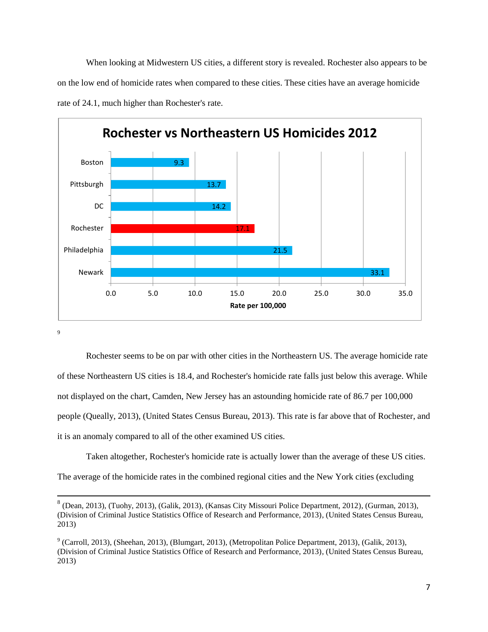When looking at Midwestern US cities, a different story is revealed. Rochester also appears to be on the low end of homicide rates when compared to these cities. These cities have an average homicide rate of 24.1, much higher than Rochester's rate.



9

 $\overline{\phantom{a}}$ 

Rochester seems to be on par with other cities in the Northeastern US. The average homicide rate of these Northeastern US cities is 18.4, and Rochester's homicide rate falls just below this average. While not displayed on the chart, Camden, New Jersey has an astounding homicide rate of 86.7 per 100,000 people (Queally, 2013), (United States Census Bureau, 2013). This rate is far above that of Rochester, and it is an anomaly compared to all of the other examined US cities.

Taken altogether, Rochester's homicide rate is actually lower than the average of these US cities.

The average of the homicide rates in the combined regional cities and the New York cities (excluding

 $8$  (Dean, 2013), (Tuohy, 2013), (Galik, 2013), (Kansas City Missouri Police Department, 2012), (Gurman, 2013), (Division of Criminal Justice Statistics Office of Research and Performance, 2013), (United States Census Bureau, 2013)

 $9$  (Carroll, 2013), (Sheehan, 2013), (Blumgart, 2013), (Metropolitan Police Department, 2013), (Galik, 2013), (Division of Criminal Justice Statistics Office of Research and Performance, 2013), (United States Census Bureau, 2013)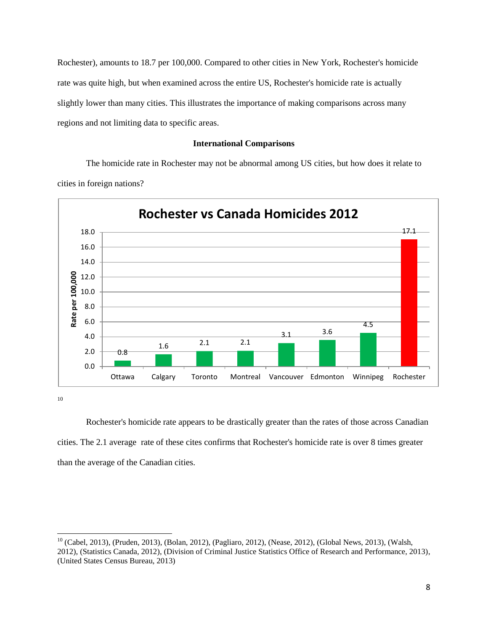Rochester), amounts to 18.7 per 100,000. Compared to other cities in New York, Rochester's homicide rate was quite high, but when examined across the entire US, Rochester's homicide rate is actually slightly lower than many cities. This illustrates the importance of making comparisons across many regions and not limiting data to specific areas.

#### **International Comparisons**

The homicide rate in Rochester may not be abnormal among US cities, but how does it relate to cities in foreign nations?



10

 $\overline{\phantom{a}}$ 

Rochester's homicide rate appears to be drastically greater than the rates of those across Canadian cities. The 2.1 average rate of these cites confirms that Rochester's homicide rate is over 8 times greater than the average of the Canadian cities.

<sup>&</sup>lt;sup>10</sup> (Cabel, 2013), (Pruden, 2013), (Bolan, 2012), (Pagliaro, 2012), (Nease, 2012), (Global News, 2013), (Walsh, 2012), (Statistics Canada, 2012), (Division of Criminal Justice Statistics Office of Research and Performance, 2013), (United States Census Bureau, 2013)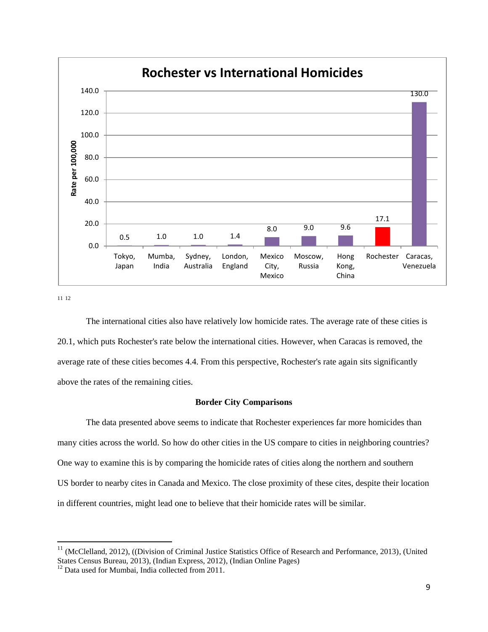

l

The international cities also have relatively low homicide rates. The average rate of these cities is 20.1, which puts Rochester's rate below the international cities. However, when Caracas is removed, the average rate of these cities becomes 4.4. From this perspective, Rochester's rate again sits significantly above the rates of the remaining cities.

#### **Border City Comparisons**

The data presented above seems to indicate that Rochester experiences far more homicides than many cities across the world. So how do other cities in the US compare to cities in neighboring countries? One way to examine this is by comparing the homicide rates of cities along the northern and southern US border to nearby cites in Canada and Mexico. The close proximity of these cites, despite their location in different countries, might lead one to believe that their homicide rates will be similar.

 $11$  (McClelland, 2012), ((Division of Criminal Justice Statistics Office of Research and Performance, 2013), (United States Census Bureau, 2013), (Indian Express, 2012), (Indian Online Pages)

<sup>&</sup>lt;sup>12</sup> Data used for Mumbai, India collected from 2011.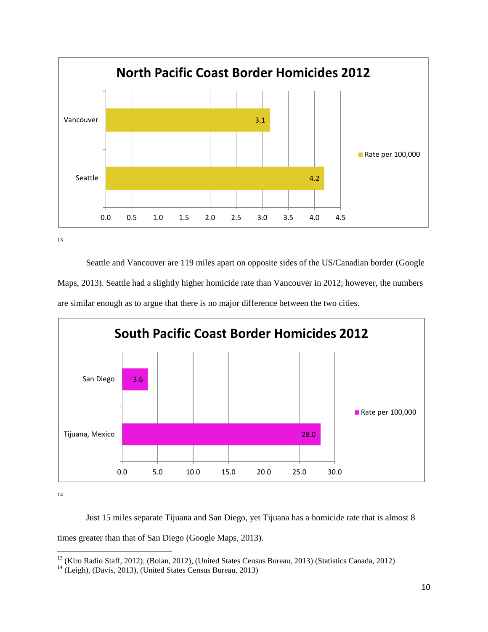

Seattle and Vancouver are 119 miles apart on opposite sides of the US/Canadian border (Google Maps, 2013). Seattle had a slightly higher homicide rate than Vancouver in 2012; however, the numbers are similar enough as to argue that there is no major difference between the two cities.



14

Just 15 miles separate Tijuana and San Diego, yet Tijuana has a homicide rate that is almost 8 times greater than that of San Diego (Google Maps, 2013).

 $\overline{\phantom{a}}$ <sup>13</sup> (Kiro Radio Staff, 2012), (Bolan, 2012), (United States Census Bureau, 2013) (Statistics Canada, 2012)

<sup>&</sup>lt;sup>14</sup> (Leigh), (Davis, 2013), (United States Census Bureau, 2013)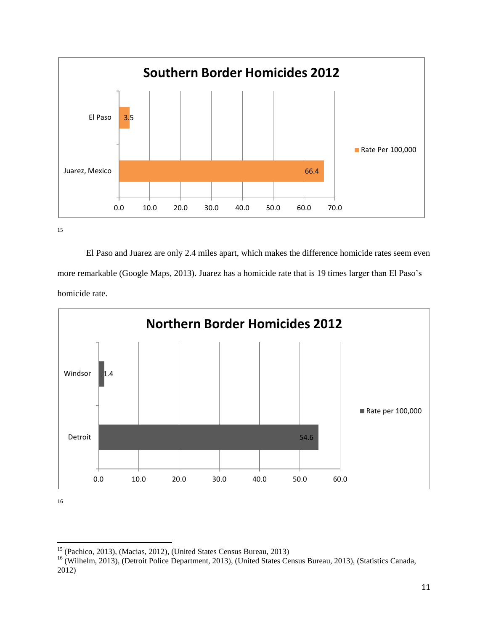

<sup>15</sup>

El Paso and Juarez are only 2.4 miles apart, which makes the difference homicide rates seem even more remarkable (Google Maps, 2013). Juarez has a homicide rate that is 19 times larger than El Paso's homicide rate.



 $\overline{\phantom{a}}$ <sup>15</sup> (Pachico, 2013), (Macias, 2012), (United States Census Bureau, 2013)

<sup>&</sup>lt;sup>16</sup> (Wilhelm, 2013), (Detroit Police Department, 2013), (United States Census Bureau, 2013), (Statistics Canada, 2012)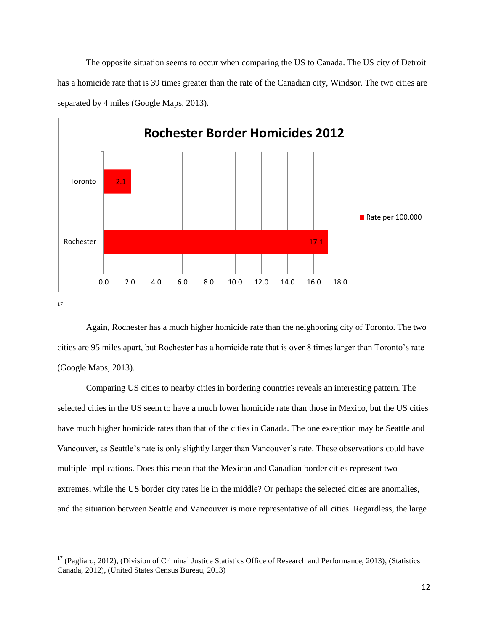The opposite situation seems to occur when comparing the US to Canada. The US city of Detroit has a homicide rate that is 39 times greater than the rate of the Canadian city, Windsor. The two cities are separated by 4 miles (Google Maps, 2013).



17

 $\overline{\phantom{a}}$ 

Again, Rochester has a much higher homicide rate than the neighboring city of Toronto. The two cities are 95 miles apart, but Rochester has a homicide rate that is over 8 times larger than Toronto's rate (Google Maps, 2013).

Comparing US cities to nearby cities in bordering countries reveals an interesting pattern. The selected cities in the US seem to have a much lower homicide rate than those in Mexico, but the US cities have much higher homicide rates than that of the cities in Canada. The one exception may be Seattle and Vancouver, as Seattle's rate is only slightly larger than Vancouver's rate. These observations could have multiple implications. Does this mean that the Mexican and Canadian border cities represent two extremes, while the US border city rates lie in the middle? Or perhaps the selected cities are anomalies, and the situation between Seattle and Vancouver is more representative of all cities. Regardless, the large

 $17$  (Pagliaro, 2012), (Division of Criminal Justice Statistics Office of Research and Performance, 2013), (Statistics Canada, 2012), (United States Census Bureau, 2013)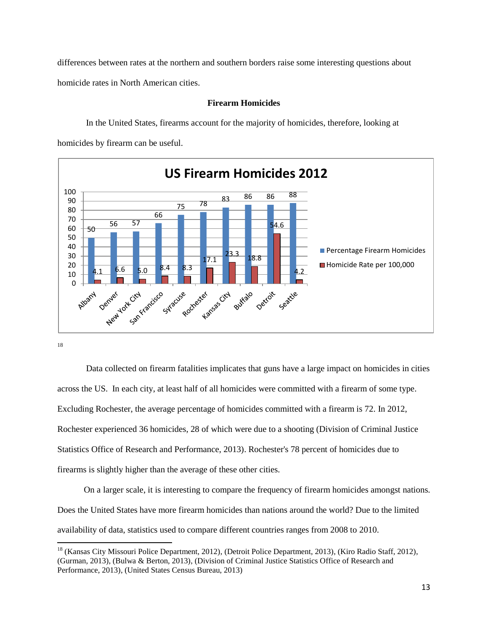differences between rates at the northern and southern borders raise some interesting questions about homicide rates in North American cities.

#### **US Firearm Homicides 2012** 100 <sup>75</sup> <sup>78</sup> <sup>83</sup> <sup>86</sup> <sup>86</sup> <sup>88</sup> 90 80 66 70 56 57 54.6 60 50 50 40 **Percentage Firearm Homicides**  $23.3 - 18.8$ 30  $17.1$ 20 Homicide Rate per 100,000 4.1 6.6 5.0 8.4 8.3 4.2 10  $\Omega$ San Krancisco New York City tansas city Rockester Buffalo co duse Detroit Denyer Seattle

### **Firearm Homicides**

In the United States, firearms account for the majority of homicides, therefore, looking at homicides by firearm can be useful.

18

 $\overline{\phantom{a}}$ 

Data collected on firearm fatalities implicates that guns have a large impact on homicides in cities across the US. In each city, at least half of all homicides were committed with a firearm of some type. Excluding Rochester, the average percentage of homicides committed with a firearm is 72. In 2012, Rochester experienced 36 homicides, 28 of which were due to a shooting (Division of Criminal Justice Statistics Office of Research and Performance, 2013). Rochester's 78 percent of homicides due to firearms is slightly higher than the average of these other cities.

On a larger scale, it is interesting to compare the frequency of firearm homicides amongst nations. Does the United States have more firearm homicides than nations around the world? Due to the limited availability of data, statistics used to compare different countries ranges from 2008 to 2010.

<sup>&</sup>lt;sup>18</sup> (Kansas City Missouri Police Department, 2012), (Detroit Police Department, 2013), (Kiro Radio Staff, 2012), (Gurman, 2013), (Bulwa & Berton, 2013), (Division of Criminal Justice Statistics Office of Research and Performance, 2013), (United States Census Bureau, 2013)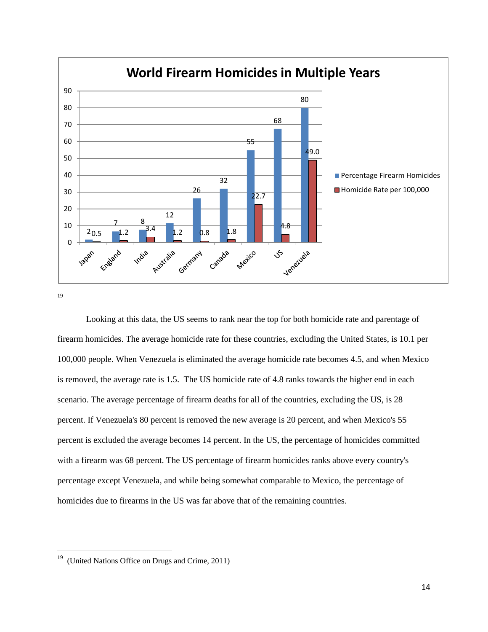

 $\overline{\phantom{a}}$ 

Looking at this data, the US seems to rank near the top for both homicide rate and parentage of firearm homicides. The average homicide rate for these countries, excluding the United States, is 10.1 per 100,000 people. When Venezuela is eliminated the average homicide rate becomes 4.5, and when Mexico is removed, the average rate is 1.5. The US homicide rate of 4.8 ranks towards the higher end in each scenario. The average percentage of firearm deaths for all of the countries, excluding the US, is 28 percent. If Venezuela's 80 percent is removed the new average is 20 percent, and when Mexico's 55 percent is excluded the average becomes 14 percent. In the US, the percentage of homicides committed with a firearm was 68 percent. The US percentage of firearm homicides ranks above every country's percentage except Venezuela, and while being somewhat comparable to Mexico, the percentage of homicides due to firearms in the US was far above that of the remaining countries.

<sup>&</sup>lt;sup>19</sup> (United Nations Office on Drugs and Crime, 2011)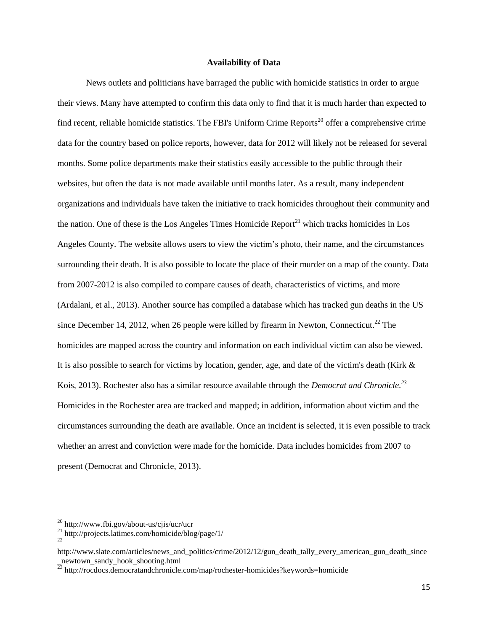#### **Availability of Data**

News outlets and politicians have barraged the public with homicide statistics in order to argue their views. Many have attempted to confirm this data only to find that it is much harder than expected to find recent, reliable homicide statistics. The FBI's Uniform Crime Reports<sup>20</sup> offer a comprehensive crime data for the country based on police reports, however, data for 2012 will likely not be released for several months. Some police departments make their statistics easily accessible to the public through their websites, but often the data is not made available until months later. As a result, many independent organizations and individuals have taken the initiative to track homicides throughout their community and the nation. One of these is the Los Angeles Times Homicide  $Report<sup>21</sup>$  which tracks homicides in Los Angeles County. The website allows users to view the victim's photo, their name, and the circumstances surrounding their death. It is also possible to locate the place of their murder on a map of the county. Data from 2007-2012 is also compiled to compare causes of death, characteristics of victims, and more (Ardalani, et al., 2013). Another source has compiled a database which has tracked gun deaths in the US since December 14, 2012, when 26 people were killed by firearm in Newton, Connecticut.<sup>22</sup> The homicides are mapped across the country and information on each individual victim can also be viewed. It is also possible to search for victims by location, gender, age, and date of the victim's death (Kirk & Kois, 2013). Rochester also has a similar resource available through the *Democrat and Chronicle. 23* Homicides in the Rochester area are tracked and mapped; in addition, information about victim and the circumstances surrounding the death are available. Once an incident is selected, it is even possible to track whether an arrest and conviction were made for the homicide. Data includes homicides from 2007 to present (Democrat and Chronicle, 2013).

l

 $^{20}$  http://www.fbi.gov/about-us/cjis/ucr/ucr

 $^{21}$  http://projects.latimes.com/homicide/blog/page/1/

<sup>22</sup>

http://www.slate.com/articles/news\_and\_politics/crime/2012/12/gun\_death\_tally\_every\_american\_gun\_death\_since \_newtown\_sandy\_hook\_shooting.html

<sup>&</sup>lt;sup>23</sup> http://rocdocs.democratandchronicle.com/map/rochester-homicides?keywords=homicide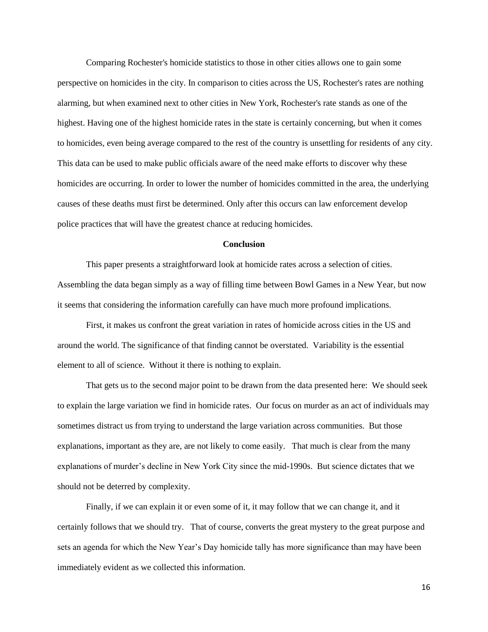Comparing Rochester's homicide statistics to those in other cities allows one to gain some perspective on homicides in the city. In comparison to cities across the US, Rochester's rates are nothing alarming, but when examined next to other cities in New York, Rochester's rate stands as one of the highest. Having one of the highest homicide rates in the state is certainly concerning, but when it comes to homicides, even being average compared to the rest of the country is unsettling for residents of any city. This data can be used to make public officials aware of the need make efforts to discover why these homicides are occurring. In order to lower the number of homicides committed in the area, the underlying causes of these deaths must first be determined. Only after this occurs can law enforcement develop police practices that will have the greatest chance at reducing homicides.

#### **Conclusion**

This paper presents a straightforward look at homicide rates across a selection of cities. Assembling the data began simply as a way of filling time between Bowl Games in a New Year, but now it seems that considering the information carefully can have much more profound implications.

First, it makes us confront the great variation in rates of homicide across cities in the US and around the world. The significance of that finding cannot be overstated. Variability is the essential element to all of science. Without it there is nothing to explain.

That gets us to the second major point to be drawn from the data presented here: We should seek to explain the large variation we find in homicide rates. Our focus on murder as an act of individuals may sometimes distract us from trying to understand the large variation across communities. But those explanations, important as they are, are not likely to come easily. That much is clear from the many explanations of murder's decline in New York City since the mid-1990s. But science dictates that we should not be deterred by complexity.

Finally, if we can explain it or even some of it, it may follow that we can change it, and it certainly follows that we should try. That of course, converts the great mystery to the great purpose and sets an agenda for which the New Year's Day homicide tally has more significance than may have been immediately evident as we collected this information.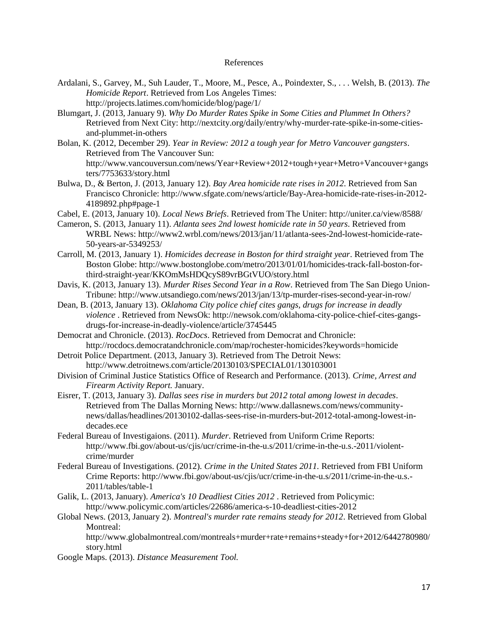#### References

- Ardalani, S., Garvey, M., Suh Lauder, T., Moore, M., Pesce, A., Poindexter, S., . . . Welsh, B. (2013). *The Homicide Report*. Retrieved from Los Angeles Times: http://projects.latimes.com/homicide/blog/page/1/
- Blumgart, J. (2013, January 9). *Why Do Murder Rates Spike in Some Cities and Plummet In Others?* Retrieved from Next City: http://nextcity.org/daily/entry/why-murder-rate-spike-in-some-citiesand-plummet-in-others
- Bolan, K. (2012, December 29). *Year in Review: 2012 a tough year for Metro Vancouver gangsters*. Retrieved from The Vancouver Sun: http://www.vancouversun.com/news/Year+Review+2012+tough+year+Metro+Vancouver+gangs ters/7753633/story.html
- Bulwa, D., & Berton, J. (2013, January 12). *Bay Area homicide rate rises in 2012*. Retrieved from San Francisco Chronicle: http://www.sfgate.com/news/article/Bay-Area-homicide-rate-rises-in-2012- 4189892.php#page-1
- Cabel, E. (2013, January 10). *Local News Briefs*. Retrieved from The Uniter: http://uniter.ca/view/8588/
- Cameron, S. (2013, January 11). *Atlanta sees 2nd lowest homicide rate in 50 years*. Retrieved from WRBL News: http://www2.wrbl.com/news/2013/jan/11/atlanta-sees-2nd-lowest-homicide-rate-50-years-ar-5349253/
- Carroll, M. (2013, January 1). *Homicides decrease in Boston for third straight year*. Retrieved from The Boston Globe: http://www.bostonglobe.com/metro/2013/01/01/homicides-track-fall-boston-forthird-straight-year/KKOmMsHDQcyS89vrBGtVUO/story.html
- Davis, K. (2013, January 13). *Murder Rises Second Year in a Row*. Retrieved from The San Diego Union-Tribune: http://www.utsandiego.com/news/2013/jan/13/tp-murder-rises-second-year-in-row/
- Dean, B. (2013, January 13). *Oklahoma City police chief cites gangs, drugs for increase in deadly violence* . Retrieved from NewsOk: http://newsok.com/oklahoma-city-police-chief-cites-gangsdrugs-for-increase-in-deadly-violence/article/3745445
- Democrat and Chronicle. (2013). *RocDocs*. Retrieved from Democrat and Chronicle: http://rocdocs.democratandchronicle.com/map/rochester-homicides?keywords=homicide
- Detroit Police Department. (2013, January 3). Retrieved from The Detroit News: http://www.detroitnews.com/article/20130103/SPECIAL01/130103001
- Division of Criminal Justice Statistics Office of Research and Performance. (2013). *Crime, Arrest and Firearm Activity Report.* January.
- Eisrer, T. (2013, January 3). *Dallas sees rise in murders but 2012 total among lowest in decades*. Retrieved from The Dallas Morning News: http://www.dallasnews.com/news/communitynews/dallas/headlines/20130102-dallas-sees-rise-in-murders-but-2012-total-among-lowest-indecades.ece
- Federal Bureau of Investigaions. (2011). *Murder*. Retrieved from Uniform Crime Reports: http://www.fbi.gov/about-us/cjis/ucr/crime-in-the-u.s/2011/crime-in-the-u.s.-2011/violentcrime/murder
- Federal Bureau of Investigations. (2012). *Crime in the United States 2011.* Retrieved from FBI Uniform Crime Reports: http://www.fbi.gov/about-us/cjis/ucr/crime-in-the-u.s/2011/crime-in-the-u.s.- 2011/tables/table-1
- Galik, L. (2013, January). *America's 10 Deadliest Cities 2012* . Retrieved from Policymic: http://www.policymic.com/articles/22686/america-s-10-deadliest-cities-2012
- Global News. (2013, January 2). *Montreal's murder rate remains steady for 2012*. Retrieved from Global Montreal:

http://www.globalmontreal.com/montreals+murder+rate+remains+steady+for+2012/6442780980/ story.html

Google Maps. (2013). *Distance Measurement Tool.*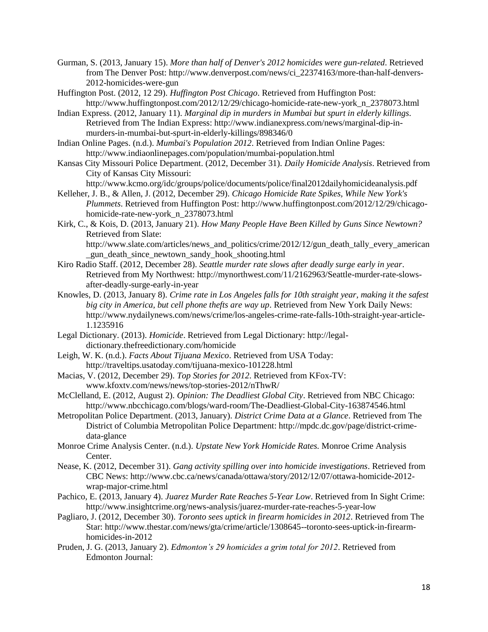- Gurman, S. (2013, January 15). *More than half of Denver's 2012 homicides were gun-related*. Retrieved from The Denver Post: http://www.denverpost.com/news/ci\_22374163/more-than-half-denvers-2012-homicides-were-gun
- Huffington Post. (2012, 12 29). *Huffington Post Chicago*. Retrieved from Huffington Post: http://www.huffingtonpost.com/2012/12/29/chicago-homicide-rate-new-york\_n\_2378073.html
- Indian Express. (2012, January 11). *Marginal dip in murders in Mumbai but spurt in elderly killings*. Retrieved from The Indian Express: http://www.indianexpress.com/news/marginal-dip-inmurders-in-mumbai-but-spurt-in-elderly-killings/898346/0
- Indian Online Pages. (n.d.). *Mumbai's Population 2012*. Retrieved from Indian Online Pages: http://www.indiaonlinepages.com/population/mumbai-population.html
- Kansas City Missouri Police Department. (2012, December 31). *Daily Homicide Analysis*. Retrieved from City of Kansas City Missouri:
- http://www.kcmo.org/idc/groups/police/documents/police/final2012dailyhomicideanalysis.pdf Kelleher, J. B., & Allen, J. (2012, December 29). *Chicago Homicide Rate Spikes, While New York's*
- *Plummets*. Retrieved from Huffington Post: http://www.huffingtonpost.com/2012/12/29/chicagohomicide-rate-new-york\_n\_2378073.html
- Kirk, C., & Kois, D. (2013, January 21). *How Many People Have Been Killed by Guns Since Newtown?* Retrieved from Slate: http://www.slate.com/articles/news\_and\_politics/crime/2012/12/gun\_death\_tally\_every\_american \_gun\_death\_since\_newtown\_sandy\_hook\_shooting.html
- Kiro Radio Staff. (2012, December 28). *Seattle murder rate slows after deadly surge early in year*. Retrieved from My Northwest: http://mynorthwest.com/11/2162963/Seattle-murder-rate-slowsafter-deadly-surge-early-in-year
- Knowles, D. (2013, January 8). *Crime rate in Los Angeles falls for 10th straight year, making it the safest big city in America, but cell phone thefts are way up*. Retrieved from New York Daily News: http://www.nydailynews.com/news/crime/los-angeles-crime-rate-falls-10th-straight-year-article-1.1235916
- Legal Dictionary. (2013). *Homicide*. Retrieved from Legal Dictionary: http://legaldictionary.thefreedictionary.com/homicide
- Leigh, W. K. (n.d.). *Facts About Tijuana Mexico*. Retrieved from USA Today: http://traveltips.usatoday.com/tijuana-mexico-101228.html
- Macias, V. (2012, December 29). *Top Stories for 2012*. Retrieved from KFox-TV: www.kfoxtv.com/news/news/top-stories-2012/nThwR/
- McClelland, E. (2012, August 2). *Opinion: The Deadliest Global City*. Retrieved from NBC Chicago: http://www.nbcchicago.com/blogs/ward-room/The-Deadliest-Global-City-163874546.html
- Metropolitan Police Department. (2013, January). *District Crime Data at a Glance*. Retrieved from The District of Columbia Metropolitan Police Department: http://mpdc.dc.gov/page/district-crimedata-glance
- Monroe Crime Analysis Center. (n.d.). *Upstate New York Homicide Rates.* Monroe Crime Analysis Center.
- Nease, K. (2012, December 31). *Gang activity spilling over into homicide investigations*. Retrieved from CBC News: http://www.cbc.ca/news/canada/ottawa/story/2012/12/07/ottawa-homicide-2012 wrap-major-crime.html
- Pachico, E. (2013, January 4). *Juarez Murder Rate Reaches 5-Year Low*. Retrieved from In Sight Crime: http://www.insightcrime.org/news-analysis/juarez-murder-rate-reaches-5-year-low
- Pagliaro, J. (2012, December 30). *Toronto sees uptick in firearm homicides in 2012*. Retrieved from The Star: http://www.thestar.com/news/gta/crime/article/1308645--toronto-sees-uptick-in-firearmhomicides-in-2012
- Pruden, J. G. (2013, January 2). *Edmonton's 29 homicides a grim total for 2012*. Retrieved from Edmonton Journal: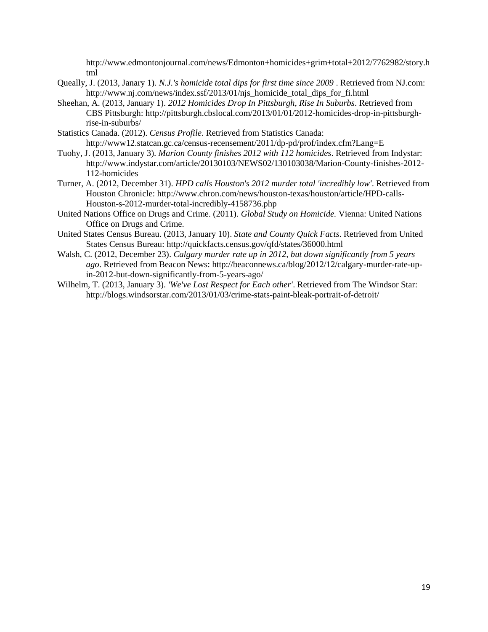http://www.edmontonjournal.com/news/Edmonton+homicides+grim+total+2012/7762982/story.h tml

- Queally, J. (2013, Janary 1). *N.J.'s homicide total dips for first time since 2009* . Retrieved from NJ.com: http://www.nj.com/news/index.ssf/2013/01/njs\_homicide\_total\_dips\_for\_fi.html
- Sheehan, A. (2013, January 1). *2012 Homicides Drop In Pittsburgh, Rise In Suburbs*. Retrieved from CBS Pittsburgh: http://pittsburgh.cbslocal.com/2013/01/01/2012-homicides-drop-in-pittsburghrise-in-suburbs/
- Statistics Canada. (2012). *Census Profile*. Retrieved from Statistics Canada: http://www12.statcan.gc.ca/census-recensement/2011/dp-pd/prof/index.cfm?Lang=E
- Tuohy, J. (2013, January 3). *Marion County finishes 2012 with 112 homicides*. Retrieved from Indystar: http://www.indystar.com/article/20130103/NEWS02/130103038/Marion-County-finishes-2012- 112-homicides
- Turner, A. (2012, December 31). *HPD calls Houston's 2012 murder total 'incredibly low'*. Retrieved from Houston Chronicle: http://www.chron.com/news/houston-texas/houston/article/HPD-calls-Houston-s-2012-murder-total-incredibly-4158736.php
- United Nations Office on Drugs and Crime. (2011). *Global Study on Homicide.* Vienna: United Nations Office on Drugs and Crime.
- United States Census Bureau. (2013, January 10). *State and County Quick Facts*. Retrieved from United States Census Bureau: http://quickfacts.census.gov/qfd/states/36000.html
- Walsh, C. (2012, December 23). *Calgary murder rate up in 2012, but down significantly from 5 years ago*. Retrieved from Beacon News: http://beaconnews.ca/blog/2012/12/calgary-murder-rate-upin-2012-but-down-significantly-from-5-years-ago/
- Wilhelm, T. (2013, January 3). *'We've Lost Respect for Each other'*. Retrieved from The Windsor Star: http://blogs.windsorstar.com/2013/01/03/crime-stats-paint-bleak-portrait-of-detroit/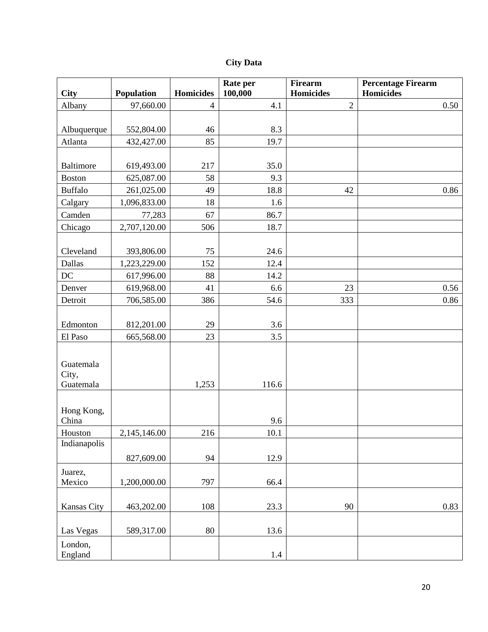|  | <b>City Data</b> |
|--|------------------|
|--|------------------|

| <b>City</b>      | Population   | <b>Homicides</b> | Rate per<br>100,000 | <b>Firearm</b><br><b>Homicides</b> | <b>Percentage Firearm</b><br><b>Homicides</b> |
|------------------|--------------|------------------|---------------------|------------------------------------|-----------------------------------------------|
| Albany           | 97,660.00    | $\overline{4}$   | 4.1                 | $\sqrt{2}$                         | 0.50                                          |
|                  |              |                  |                     |                                    |                                               |
| Albuquerque      | 552,804.00   | 46               | 8.3                 |                                    |                                               |
| Atlanta          | 432,427.00   | 85               | 19.7                |                                    |                                               |
|                  |              |                  |                     |                                    |                                               |
| <b>Baltimore</b> | 619,493.00   | 217              | 35.0                |                                    |                                               |
| <b>Boston</b>    | 625,087.00   | 58               | 9.3                 |                                    |                                               |
| <b>Buffalo</b>   | 261,025.00   | 49               | 18.8                | 42                                 | 0.86                                          |
| Calgary          | 1,096,833.00 | 18               | 1.6                 |                                    |                                               |
| Camden           | 77,283       | 67               | 86.7                |                                    |                                               |
| Chicago          | 2,707,120.00 | 506              | 18.7                |                                    |                                               |
|                  |              |                  |                     |                                    |                                               |
| Cleveland        | 393,806.00   | 75               | 24.6                |                                    |                                               |
| Dallas           | 1,223,229.00 | 152              | 12.4                |                                    |                                               |
| DC               | 617,996.00   | 88               | 14.2                |                                    |                                               |
| Denver           | 619,968.00   | 41               | 6.6                 | 23                                 | 0.56                                          |
| Detroit          | 706,585.00   | 386              | 54.6                | 333                                | 0.86                                          |
|                  |              |                  |                     |                                    |                                               |
| Edmonton         | 812,201.00   | 29               | 3.6                 |                                    |                                               |
| El Paso          | 665,568.00   | 23               | 3.5                 |                                    |                                               |
|                  |              |                  |                     |                                    |                                               |
| Guatemala        |              |                  |                     |                                    |                                               |
| City,            |              |                  |                     |                                    |                                               |
| Guatemala        |              | 1,253            | 116.6               |                                    |                                               |
|                  |              |                  |                     |                                    |                                               |
| Hong Kong,       |              |                  |                     |                                    |                                               |
| China            |              |                  | 9.6                 |                                    |                                               |
| Houston          | 2,145,146.00 | 216              | 10.1                |                                    |                                               |
| Indianapolis     |              |                  |                     |                                    |                                               |
|                  | 827,609.00   | 94               | 12.9                |                                    |                                               |
| Juarez,          |              |                  |                     |                                    |                                               |
| Mexico           | 1,200,000.00 | 797              | 66.4                |                                    |                                               |
|                  |              |                  |                     |                                    |                                               |
| Kansas City      | 463,202.00   | 108              | 23.3                | 90                                 | 0.83                                          |
|                  |              |                  |                     |                                    |                                               |
| Las Vegas        | 589,317.00   | 80               | 13.6                |                                    |                                               |
| London,          |              |                  |                     |                                    |                                               |
| England          |              |                  | 1.4                 |                                    |                                               |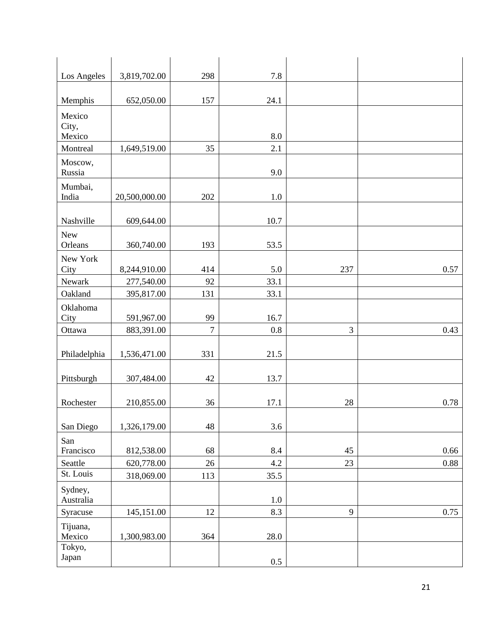| Los Angeles               | 3,819,702.00  | 298            | 7.8     |     |          |
|---------------------------|---------------|----------------|---------|-----|----------|
|                           |               |                |         |     |          |
| Memphis                   | 652,050.00    | 157            | 24.1    |     |          |
| Mexico<br>City,<br>Mexico |               |                | 8.0     |     |          |
| Montreal                  | 1,649,519.00  | 35             | 2.1     |     |          |
| Moscow,<br>Russia         |               |                | 9.0     |     |          |
| Mumbai,<br>India          | 20,500,000.00 | 202            | $1.0\,$ |     |          |
| Nashville                 | 609,644.00    |                | 10.7    |     |          |
| New<br>Orleans            | 360,740.00    | 193            | 53.5    |     |          |
| New York<br>City          | 8,244,910.00  | 414            | 5.0     | 237 | 0.57     |
| Newark                    | 277,540.00    | 92             | 33.1    |     |          |
| Oakland                   | 395,817.00    | 131            | 33.1    |     |          |
| Oklahoma                  |               |                |         |     |          |
| City                      | 591,967.00    | 99             | 16.7    |     |          |
| Ottawa                    | 883,391.00    | $\overline{7}$ | 0.8     | 3   | 0.43     |
| Philadelphia              | 1,536,471.00  | 331            | 21.5    |     |          |
| Pittsburgh                | 307,484.00    | 42             | 13.7    |     |          |
| Rochester                 | 210,855.00    | 36             | 17.1    | 28  | 0.78     |
| San Diego                 | 1,326,179.00  | 48             | 3.6     |     |          |
| San<br>Francisco          | 812,538.00    | 68             | 8.4     | 45  | 0.66     |
| Seattle                   | 620,778.00    | 26             | 4.2     | 23  | $0.88\,$ |
| St. Louis                 | 318,069.00    | 113            | 35.5    |     |          |
| Sydney,<br>Australia      |               |                | 1.0     |     |          |
| Syracuse                  | 145,151.00    | $12\,$         | 8.3     | 9   | 0.75     |
| Tijuana,<br>Mexico        | 1,300,983.00  | 364            | 28.0    |     |          |
| Tokyo,<br>Japan           |               |                | 0.5     |     |          |